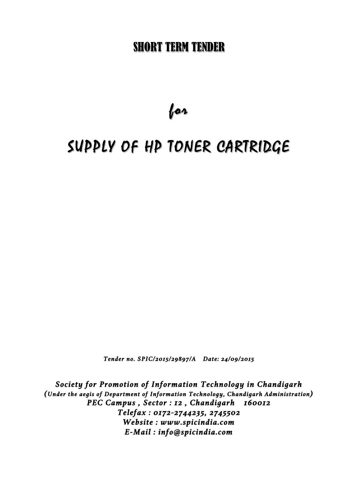# SHORT TERM TENDER

for

# SUPPLY OF HP TONER CARTRIDGE

*Tender no. SPIC/2015/29897/A Date: 24/09/2015* 

*Society for Promotion of Information Technology in Chandigarh (Under the aegis of Department of Information Technology, Chandigarh Administration) PEC Campus , Sector : 12 , Chandigarh 160012 Telefax : 0172-2744235, 2745502 Website : www.spicindia.com E-Mail : info@spicindia.com*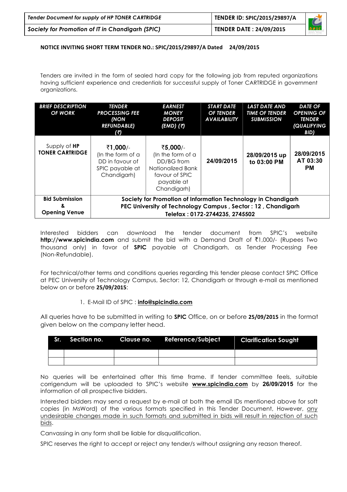| Tender Document for supply of HP TONER CARTRIDGE | TENDER ID: SPIC/2015/29897/A   |      |
|--------------------------------------------------|--------------------------------|------|
| Society for Promotion of IT in Chandigarh (SPIC) | <b>TENDER DATE: 24/09/2015</b> | SPIC |

#### **NOTICE INVITING SHORT TERM TENDER NO.: SPIC/2015/29897/A Dated 24/09/2015**

Tenders are invited in the form of sealed hard copy for the following job from reputed organizations having sufficient experience and credentials for successful supply of Toner CARTRIDGE in government organizations.

| <b>BRIEF DESCRIPTION</b><br><b>OF WORK</b>          | <b>TENDER</b><br><b>PROCESSING FEE</b><br>(NON<br><b>REFUNDABLE)</b><br>(7)                                                                                    | <b>EARNEST</b><br><b>MONEY</b><br><b>DEPOSIT</b><br>(EMD) (₹)                                                   | <b>START DATE</b><br><b>OF TENDER</b><br><b>AVAILABILITY</b> | <b>LAST DATE AND</b><br><b>TIME OF TENDER</b><br><b>SUBMISSION</b> | <b>DATE OF</b><br><b>OPENING OF</b><br><b>TENDER</b><br><i><b>(QUALIFYING</b></i><br>BID) |
|-----------------------------------------------------|----------------------------------------------------------------------------------------------------------------------------------------------------------------|-----------------------------------------------------------------------------------------------------------------|--------------------------------------------------------------|--------------------------------------------------------------------|-------------------------------------------------------------------------------------------|
| Supply of <b>HP</b><br><b>TONER CARTRIDGE</b>       | ₹1,000/<br>(In the form of a<br>DD in favour of<br>SPIC payable at<br>Chandigarh)                                                                              | ₹5,000/-<br>(In the form of a<br>DD/BG from<br>Nationalized Bank<br>favour of SPIC<br>payable at<br>Chandigarh) | 24/09/2015                                                   | 28/09/2015 up<br>to 03:00 PM                                       | 28/09/2015<br>AT 03:30<br><b>PM</b>                                                       |
| <b>Bid Submission</b><br>8.<br><b>Opening Venue</b> | Society for Promotion of Information Technology in Chandigarh<br>PEC University of Technology Campus, Sector: 12, Chandigarh<br>Telefax: 0172-2744235, 2745502 |                                                                                                                 |                                                              |                                                                    |                                                                                           |

Interested bidders can download the tender document from SPIC's website **http://www.spicindia.com** and submit the bid with a Demand Draft of ₹1,000/- (Rupees Two thousand only) in favor of **SPIC** payable at Chandigarh, as Tender Processing Fee (Non-Refundable).

For technical/other terms and conditions queries regarding this tender please contact SPIC Office at PEC University of Technology Campus, Sector: 12, Chandigarh or through e-mail as mentioned below on or before **25/09/2015**:

#### 1. E-Mail ID of SPIC : **info@spicindia.com**

All queries have to be submitted in writing to **SPIC** Office, on or before **25/09/2015** in the format given below on the company letter head.

|  | Sr. Section no. Clause no. Reference/Subject Clarification Sought , |  |
|--|---------------------------------------------------------------------|--|
|  |                                                                     |  |
|  |                                                                     |  |

No queries will be entertained after this time frame. If tender committee feels, suitable corrigendum will be uploaded to SPIC's website **www.spicindia.com** by **26/09/2015** for the information of all prospective bidders.

Interested bidders may send a request by e-mail at both the email IDs mentioned above for soft copies (in MsWord) of the various formats specified in this Tender Document, However, any undesirable changes made in such formats and submitted in bids will result in rejection of such bids.

Canvassing in any form shall be liable for disqualification.

SPIC reserves the right to accept or reject any tender/s without assigning any reason thereof.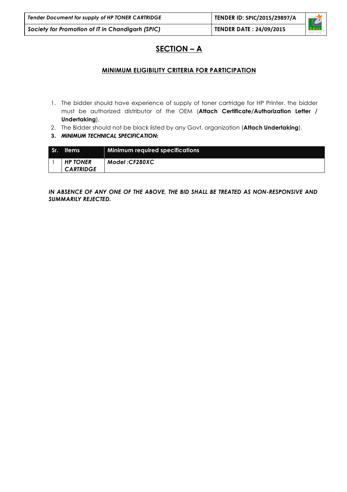| Tender Document for supply of HP TONER CARTRIDGE | TENDER ID: SPIC/2015/29897/A   |                                                                                        |
|--------------------------------------------------|--------------------------------|----------------------------------------------------------------------------------------|
| Society for Promotion of IT in Chandigarh (SPIC) | <b>TENDER DATE: 24/09/2015</b> | $\overline{\overline{\mathbf{a}}\overline{\mathbf{p}}\overline{\mathbf{s}}\mathbf{c}}$ |

### **SECTION – A**

#### **MINIMUM ELIGIBILITY CRITERIA FOR PARTICIPATION**

- 1. The bidder should have experience of supply of toner cartridge for HP Printer, the bidder must be authorized distributor of the OEM (**Attach Certificate/Authorization Letter / Undertaking**).
- 2. The Bidder should not be black listed by any Govt. organization (**Attach Undertaking**).
- **3.** *MINIMUM TECHNICAL SPECIFICATION:*

| Sr. | <b>Items</b>                        | <b>Minimum required specifications</b> |
|-----|-------------------------------------|----------------------------------------|
|     | <b>HP TONER</b><br><b>CARTRIDGE</b> | Model:CF280XC                          |

*IN ABSENCE OF ANY ONE OF THE ABOVE, THE BID SHALL BE TREATED AS NON-RESPONSIVE AND SUMMARILY REJECTED.*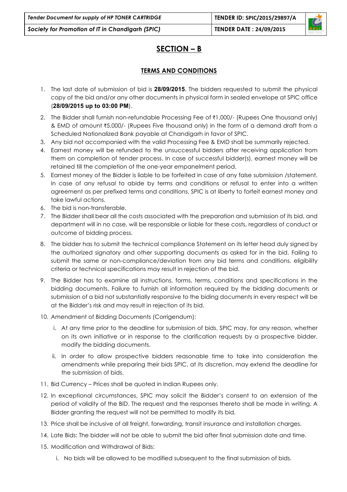## **SECTION – B**

### **TERMS AND CONDITIONS**

- 1. The last date of submission of bid is **28/09/2015**. The bidders requested to submit the physical copy of the bid and/or any other documents in physical form in sealed envelope at SPIC office (**28/09/2015 up to 03:00 PM**).
- 2. The Bidder shall furnish non-refundable Processing Fee of  $\bar{\tau}1,000/$  (Rupees One thousand only) & EMD of amount  $\overline{5,000}$ /- (Rupees Five thousand only) in the form of a demand draft from a Scheduled Nationalized Bank payable at Chandigarh in favor of SPIC.
- 3. Any bid not accompanied with the valid Processing Fee & EMD shall be summarily rejected.
- 4. Earnest money will be refunded to the unsuccessful bidders after receiving application from them on completion of tender process. In case of successful bidder(s), earnest money will be retained till the completion of the one-year empanelment period.
- 5. Earnest money of the Bidder is liable to be forfeited in case of any false submission /statement. In case of any refusal to abide by terms and conditions or refusal to enter into a written agreement as per prefixed terms and conditions, SPIC is at liberty to forfeit earnest money and take lawful actions.
- 6. The bid is non-transferable.
- 7. The Bidder shall bear all the costs associated with the preparation and submission of its bid, and department will in no case, will be responsible or liable for these costs, regardless of conduct or outcome of bidding process.
- 8. The bidder has to submit the technical compliance Statement on its letter head duly signed by the authorized signatory and other supporting documents as asked for in the bid. Failing to submit the same or non-compliance/deviation from any bid terms and conditions, eligibility criteria or technical specifications may result in rejection of the bid.
- 9. The Bidder has to examine all instructions, forms, terms, conditions and specifications in the bidding documents. Failure to furnish all information required by the bidding documents or submission of a bid not substantially responsive to the biding documents in every respect will be at the Bidder's risk and may result in rejection of its bid.
- 10. Amendment of Bidding Documents (Corrigendum):
	- i. At any time prior to the deadline for submission of bids, SPIC may, for any reason, whether on its own initiative or in response to the clarification requests by a prospective bidder, modify the bidding documents.
	- ii. In order to allow prospective bidders reasonable time to take into consideration the amendments while preparing their bids SPIC, at its discretion, may extend the deadline for the submission of bids.
- 11. Bid Currency Prices shall be quoted in Indian Rupees only.
- 12. In exceptional circumstances, SPIC may solicit the Bidder's consent to an extension of the period of validity of the BID. The request and the responses thereto shall be made in writing. A Bidder granting the request will not be permitted to modify its bid.
- 13. Price shall be inclusive of all freight, forwarding, transit insurance and installation charges.
- 14. Late Bids: The bidder will not be able to submit the bid after final submission date and time.
- 15. Modification and Withdrawal of Bids:
	- i. No bids will be allowed to be modified subsequent to the final submission of bids.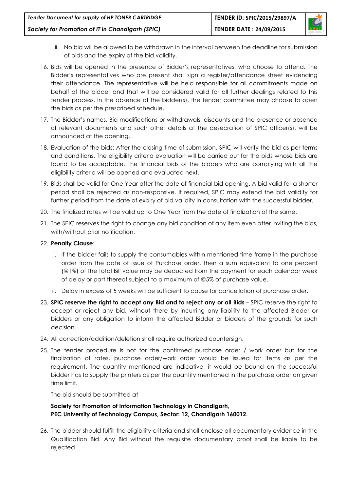| Tender Document for supply of HP TONER CARTRIDGE | TENDER ID: SPIC/2015/29897/A   |             |
|--------------------------------------------------|--------------------------------|-------------|
| Society for Promotion of IT in Chandigarh (SPIC) | <b>TENDER DATE: 24/09/2015</b> | <b>SPIC</b> |

- ii. No bid will be allowed to be withdrawn in the interval between the deadline for submission of bids and the expiry of the bid validity.
- 16. Bids will be opened in the presence of Bidder's representatives, who choose to attend. The Bidder's representatives who are present shall sign a register/attendance sheet evidencing their attendance. The representative will be held responsible for all commitments made on behalf of the bidder and that will be considered valid for all further dealings related to this tender process. In the absence of the bidder(s), the tender committee may choose to open the bids as per the prescribed schedule.
- 17. The Bidder's names, Bid modifications or withdrawals, discounts and the presence or absence of relevant documents and such other details at the desecration of SPIC officer(s), will be announced at the opening.
- 18. Evaluation of the bids: After the closing time of submission, SPIC will verify the bid as per terms and conditions. The eligibility criteria evaluation will be carried out for the bids whose bids are found to be acceptable. The financial bids of the bidders who are complying with all the eligibility criteria will be opened and evaluated next.
- 19. Bids shall be valid for One Year after the date of financial bid opening. A bid valid for a shorter period shall be rejected as non-responsive. If required, SPIC may extend the bid validity for further period from the date of expiry of bid validity in consultation with the successful bidder.
- 20. The finalized rates will be valid up to One Year from the date of finalization of the same.
- 21. The SPIC reserves the right to change any bid condition of any item even after inviting the bids, with/without prior notification.

#### 22. **Penalty Clause**:

- i. If the bidder fails to supply the consumables within mentioned time frame in the purchase order from the date of issue of Purchase order, then a sum equivalent to one percent (@1%) of the total Bill value may be deducted from the payment for each calendar week of delay or part thereof subject to a maximum of @5% of purchase value.
- ii. Delay in excess of 5 weeks will be sufficient to cause for cancellation of purchase order.
- 23. **SPIC reserve the right to accept any Bid and to reject any or all Bids** SPIC reserve the right to accept or reject any bid, without there by incurring any liability to the affected Bidder or bidders or any obligation to inform the affected Bidder or bidders of the grounds for such decision.
- 24. All correction/addition/deletion shall require authorized countersign.
- 25. The tender procedure is not for the confirmed purchase order / work order but for the finalization of rates, purchase order/work order would be issued for items as per the requirement. The quantity mentioned are indicative, it would be bound on the successful bidder has to supply the printers as per the quantity mentioned in the purchase order on given time limit.

The bid should be submitted at

#### **Society for Promotion of Information Technology in Chandigarh, PEC University of Technology Campus, Sector: 12, Chandigarh 160012.**

26. The bidder should fulfill the eligibility criteria and shall enclose all documentary evidence in the Qualification Bid. Any Bid without the requisite documentary proof shall be liable to be rejected.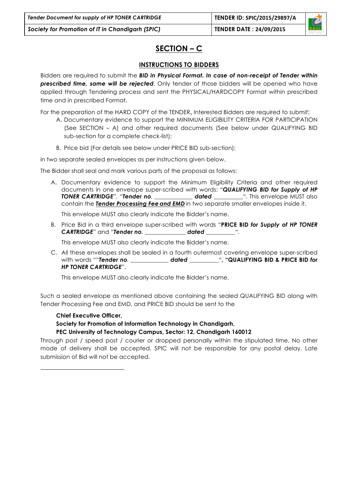### **SECTION – C**

### **INSTRUCTIONS TO BIDDERS**

Bidders are required to submit the *BID in Physical Format. In case of non-receipt of Tender within prescribed time, same will be rejected*. Only tender of those bidders will be opened who have applied through Tendering process and sent the PHYSICAL/HARDCOPY Format within prescribed time and in prescribed Format.

For the preparation of the HARD COPY of the TENDER, Interested Bidders are required to submit:

- A. Documentary evidence to support the MINIMUM ELIGIBILITY CRITERIA FOR PARTICIPATION (See SECTION – A) and other required documents (See below under QUALIFYING BID sub-section for a complete check-list);
- B. Price bid (For details see below under PRICE BID sub-section);

in two separate sealed envelopes as per instructions given below.

The Bidder shall seal and mark various parts of the proposal as follows:

A. Documentary evidence to support the Minimum Eligibility Criteria and other required documents in one envelope super-scribed with words: *"QUALIFYING BID for Supply of HP TONER CARTRIDGE", "Tender no. \_\_\_\_\_\_\_\_\_\_\_\_\_ dated \_\_\_\_\_\_\_\_\_\_".* This envelope MUST also contain the *Tender Processing Fee and EMD* in two separate smaller envelopes inside it.

This envelope MUST also clearly indicate the Bidder's name.

B. Price Bid in a third envelope super-scribed with words "**PRICE BID** *for Supply of HP TONER CARTRIDGE*" and *"Tender no. \_\_\_\_\_\_\_\_\_\_\_\_\_\_ dated \_\_\_\_\_\_\_\_\_\_".*

This envelope MUST also clearly indicate the Bidder's name.

C. All these envelopes shall be sealed in a fourth outermost covering envelope super-scribed with words "*"Tender no. \_\_\_\_\_\_\_\_\_\_\_\_\_ dated \_\_\_\_\_\_\_\_\_\_"***, "QUALIFYING BID & PRICE BID** *for HP TONER CARTRIDGE*".

This envelope MUST also clearly indicate the Bidder's name.

Such a sealed envelope as mentioned above containing the sealed QUALIFYING BID along with Tender Processing Fee and EMD, and PRICE BID should be sent to the

#### **Chief Executive Officer,**

#### **Society for Promotion of Information Technology in Chandigarh,**

#### **PEC University of Technology Campus, Sector: 12, Chandigarh 160012**

Through post / speed post / courier or dropped personally within the stipulated time. No other mode of delivery shall be accepted. SPIC will not be responsible for any postal delay. Late submission of Bid will not be accepted.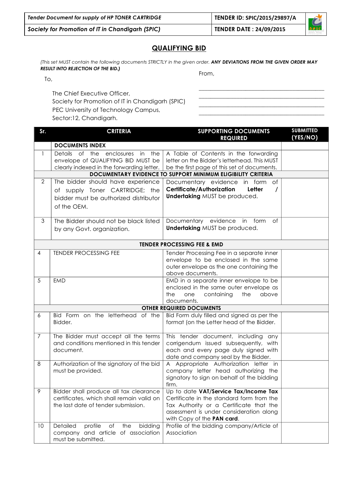| Tender Document for supply of HP TONER CARTRIDGE | TENDER ID: SPIC/2015/29897/A   | $\overline{\phantom{a}}$ |
|--------------------------------------------------|--------------------------------|--------------------------|
| Society for Promotion of IT in Chandigarh (SPIC) | <b>TENDER DATE: 24/09/2015</b> | <b>SPIC</b>              |

#### **QUALIFYING BID**

*(This set MUST contain the following documents STRICTLY in the given order. ANY DEVIATIONS FROM THE GIVEN ORDER MAY RESULT INTO REJECTION OF THE BID.)*

To,

The Chief Executive Officer, Society for Promotion of IT in Chandigarh (SPIC) PEC University of Technology Campus, Sector:12, Chandigarh.

**Sr. CRITERIA CRITERIA** SUPPORTING DOCUMENTS **REQUIRED SUBMITTED (YES/NO) DOCUMENTS INDEX**  1 Details of the enclosures in the envelope of QUALIFYING BID MUST be clearly indexed in the forwarding letter. A Table of Contents in the forwarding letter on the Bidder's letterhead. This MUST be the first page of this set of documents. **DOCUMENTARY EVIDENCE TO SUPPORT MINIMUM ELIGIBILITY CRITERIA**  2 The bidder should have experience of supply Toner CARTRIDGE; the bidder must be authorized distributor of the OEM. Documentary evidence in form of **Certificate/Authorization Letter / Undertaking** MUST be produced. 3 The Bidder should not be black listed by any Govt. organization. Documentary evidence in form of **Undertaking** MUST be produced. **TENDER PROCESSING FEE & EMD** 4 TENDER PROCESSING FEE Tender Processing Fee in a separate inner envelope to be enclosed in the same outer envelope as the one containing the above documents. 5 EMD EMD in a separate inner envelope to be enclosed in the same outer envelope as the one containing the above documents. **OTHER REQUIRED DOCUMENTS**  $6$  Bid Form on the letterhead of the Bidder. Bid Form duly filled and signed as per the format (on the Letter head of the Bidder. 7 The Bidder must accept all the terms and conditions mentioned in this tender document. This tender document, including any corrigendum issued subsequently, with each and every page duly signed with date and company seal by the Bidder. 8 Authorization of the signatory of the bid must be provided. A Appropriate Authorization letter in company letter head authorizing the signatory to sign on behalf of the bidding firm. 9 Bidder shall produce all tax clearance certificates, which shall remain valid on the last date of tender submission. Up to date **VAT/Service Tax/Income Tax** Certificate in the standard form from the Tax Authority or a Certificate that the assessment is under consideration along with Copy of the **PAN card**. 10 Detailed profile of the bidding company and article of association must be submitted. Profile of the bidding company/Article of Association

From,

\_\_\_\_\_\_\_\_\_\_\_\_\_\_\_\_\_\_\_\_\_\_\_\_\_\_\_\_\_\_\_\_\_\_\_\_\_\_\_\_\_\_\_ \_\_\_\_\_\_\_\_\_\_\_\_\_\_\_\_\_\_\_\_\_\_\_\_\_\_\_\_\_\_\_\_\_\_\_\_\_\_\_\_\_\_\_ \_\_\_\_\_\_\_\_\_\_\_\_\_\_\_\_\_\_\_\_\_\_\_\_\_\_\_\_\_\_\_\_\_\_\_\_\_\_\_\_\_\_\_ \_\_\_\_\_\_\_\_\_\_\_\_\_\_\_\_\_\_\_\_\_\_\_\_\_\_\_\_\_\_\_\_\_\_\_\_\_\_\_\_\_\_\_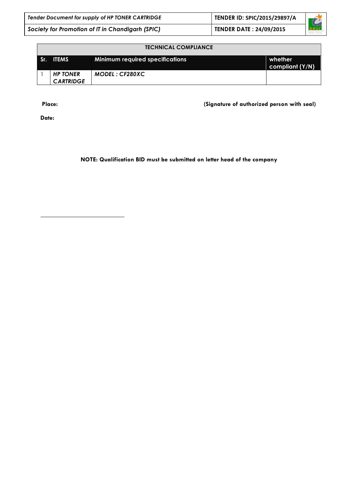| Tender Document for supply of HP TONER CARTRIDGE | TENDER ID: SPIC/2015/29897/A   | $\sqrt{2}$  |
|--------------------------------------------------|--------------------------------|-------------|
| Society for Promotion of IT in Chandigarh (SPIC) | <b>TENDER DATE: 24/09/2015</b> | <b>SPIC</b> |

| <b>TECHNICAL COMPLIANCE</b>         |                                        |                            |  |
|-------------------------------------|----------------------------------------|----------------------------|--|
| Sr. ITEMS                           | <b>Minimum required specifications</b> | whether<br>compliant (Y/N) |  |
| <b>HP TONER</b><br><b>CARTRIDGE</b> | MODEL: CF280XC                         |                            |  |

**Place: (Signature of authorized person with seal)** 

**Date:** 

**NOTE: Qualification BID must be submitted on letter head of the company**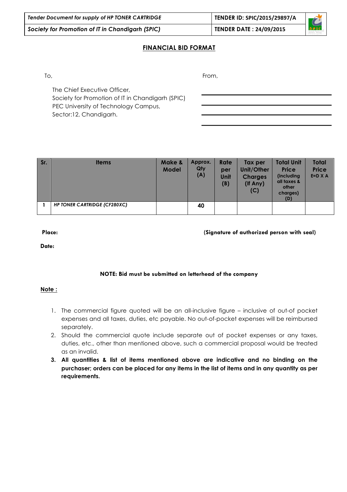| Tender Document for supply of HP TONER CARTRIDGE | TENDER ID: SPIC/2015/29897/A   |                    |
|--------------------------------------------------|--------------------------------|--------------------|
| Society for Promotion of IT in Chandigarh (SPIC) | <b>TENDER DATE: 24/09/2015</b> | $\overline{\circ}$ |

#### **FINANCIAL BID FORMAT**

To,

From,

The Chief Executive Officer, Society for Promotion of IT in Chandigarh (SPIC) PEC University of Technology Campus, Sector:12, Chandigarh.

| Sr. | <b>Items</b>                        | Make &<br><b>Model</b> | Approx.<br>Qty<br>(A) | Rate<br>per<br>Unit<br>(B) | Tax per<br>Unit/Other<br><b>Charges</b><br>(If Any)<br>(C) | <b>Total Unit</b><br><b>Price</b><br>(including<br>all taxes &<br>other<br>charges)<br>(D) | Total<br><b>Price</b><br>$E = D \times A$ |
|-----|-------------------------------------|------------------------|-----------------------|----------------------------|------------------------------------------------------------|--------------------------------------------------------------------------------------------|-------------------------------------------|
|     | <b>HP TONER CARTRIDGE (CF280XC)</b> |                        | 40                    |                            |                                                            |                                                                                            |                                           |

**Place: (Signature of authorized person with seal)** 

**Date:** 

#### **NOTE: Bid must be submitted on letterhead of the company**

#### **Note :**

- 1. The commercial figure quoted will be an all-inclusive figure inclusive of out-of pocket expenses and all taxes, duties, etc payable. No out-of-pocket expenses will be reimbursed separately.
- 2. Should the commercial quote include separate out of pocket expenses or any taxes, duties, etc., other than mentioned above, such a commercial proposal would be treated as an invalid.
- **3. All quantities & list of items mentioned above are indicative and no binding on the purchaser; orders can be placed for any items in the list of items and in any quantity as per requirements.**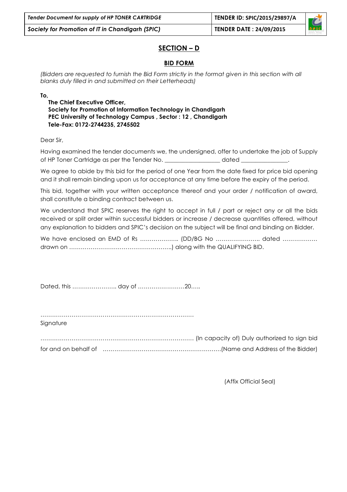### **SECTION – D**

#### **BID FORM**

*(Bidders are requested to furnish the Bid Form strictly in the format given in this section with all blanks duly filled in and submitted on their Letterheads)* 

**To,**

**The Chief Executive Officer, Society for Promotion of Information Technology in Chandigarh PEC University of Technology Campus , Sector : 12 , Chandigarh Tele-Fax: 0172-2744235, 2745502**

Dear Sir,

Having examined the tender documents we, the undersigned, offer to undertake the job of Supply of HP Toner Cartridge as per the Tender No. \_\_\_\_\_\_\_\_\_\_\_\_\_\_\_\_\_\_\_ dated \_\_\_\_\_\_\_\_\_\_\_\_\_\_\_\_.

We agree to abide by this bid for the period of one Year from the date fixed for price bid opening and it shall remain binding upon us for acceptance at any time before the expiry of the period.

This bid, together with your written acceptance thereof and your order / notification of award, shall constitute a binding contract between us.

We understand that SPIC reserves the right to accept in full / part or reject any or all the bids received or split order within successful bidders or increase / decrease quantities offered, without any explanation to bidders and SPIC's decision on the subject will be final and binding on Bidder.

We have enclosed an EMD of Rs ………………… (DD/BG No ……………………… dated ……………… drawn on ……………………………………………..) along with the QUALIFYING BID.

Dated, this ………………….. day of ……………………20…..

…………………………………………………………………….

Sianature

……………………………………………………………………. (In capacity of) Duly authorized to sign bid for and on behalf of …………………………………………………….(Name and Address of the Bidder)

(Affix Official Seal)